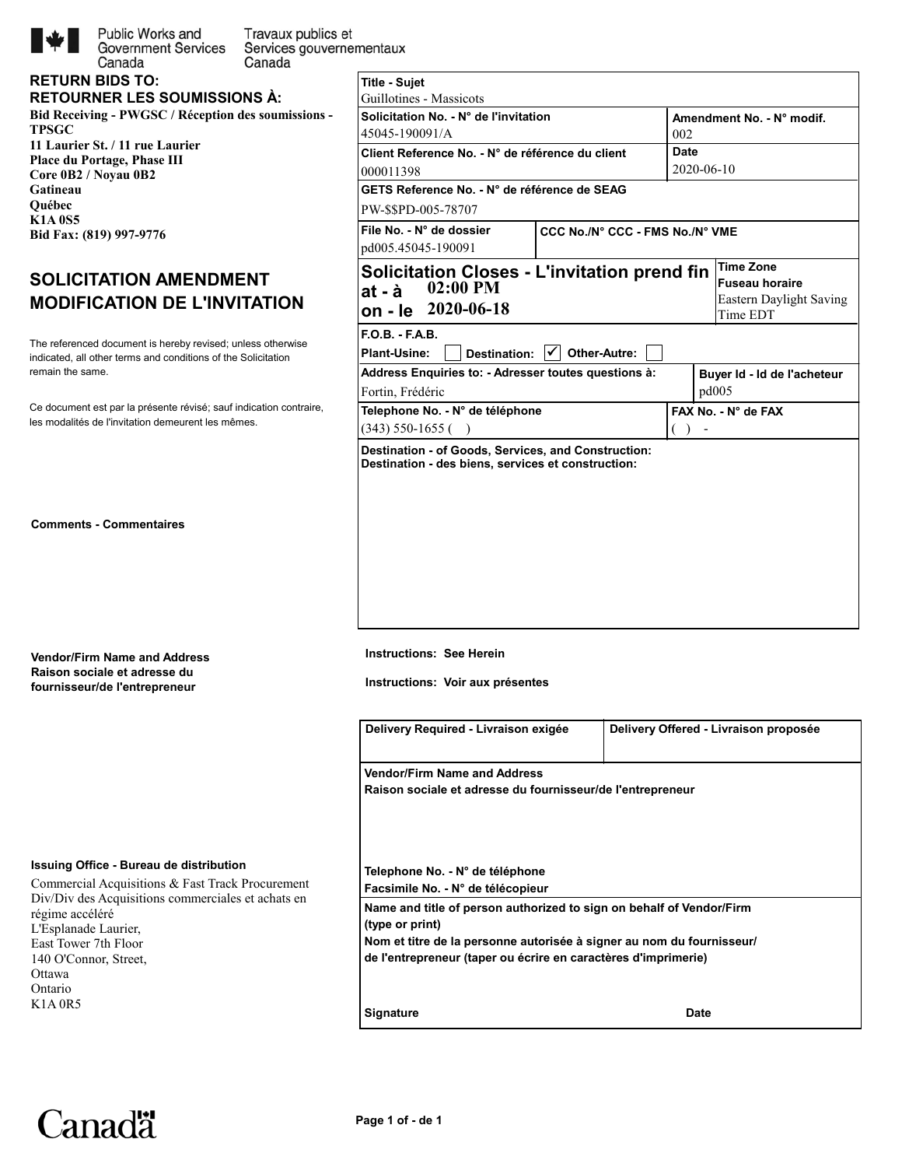

**RETURN BIDS TO:**

Canada

Public Works and Travaux publics et **Government Services** Services gouvernementaux Canada

|  |  | . |  |                                     |  |
|--|--|---|--|-------------------------------------|--|
|  |  |   |  |                                     |  |
|  |  |   |  | <b>RETOURNER LES SOUMISSIONS A:</b> |  |
|  |  |   |  |                                     |  |

**Bid Receiving - PWGSC / Réception des soumissions - TPSGC 11 Laurier St. / 11 rue Laurier Place du Portage, Phase III Core 0B2 / Noyau 0B2 Gatineau Québec K1A 0S5 Bid Fax: (819) 997-9776** 

# **SOLICITATION AMENDMENT MODIFICATION DE L'INVITATION**

indicated, all other terms and conditions of the Solicitation The referenced document is hereby revised; unless otherwise remain the same.

les modalités de l'invitation demeurent les mêmes. Ce document est par la présente révisé; sauf indication contraire,

**Comments - Commentaires**

**Vendor/Firm Name and Address Raison sociale et adresse du fournisseur/de l'entrepreneur**

# **Issuing Office - Bureau de distribution**

Commercial Acquisitions & Fast Track Procurement Div/Div des Acquisitions commerciales et achats en régime accéléré L'Esplanade Laurier, East Tower 7th Floor 140 O'Connor, Street, Ottawa Ontario K1A 0R5

| <b>Title - Sujet</b>                                                                                      |                                 |                           |  |                         |  |  |  |
|-----------------------------------------------------------------------------------------------------------|---------------------------------|---------------------------|--|-------------------------|--|--|--|
| Guillotines - Massicots                                                                                   |                                 |                           |  |                         |  |  |  |
| Solicitation No. - N° de l'invitation                                                                     |                                 | Amendment No. - N° modif. |  |                         |  |  |  |
| 45045-190091/A                                                                                            |                                 | 002                       |  |                         |  |  |  |
| Client Reference No. - N° de référence du client                                                          |                                 | Date                      |  |                         |  |  |  |
| 000011398                                                                                                 | 2020-06-10                      |                           |  |                         |  |  |  |
| GETS Reference No. - N° de référence de SEAG                                                              |                                 |                           |  |                         |  |  |  |
| PW-\$\$PD-005-78707                                                                                       |                                 |                           |  |                         |  |  |  |
| File No. - N° de dossier                                                                                  | CCC No./N° CCC - FMS No./N° VME |                           |  |                         |  |  |  |
| pd005.45045-190091                                                                                        |                                 |                           |  |                         |  |  |  |
| <b>Solicitation Closes - L'invitation prend fin</b>                                                       |                                 |                           |  | <b>Time Zone</b>        |  |  |  |
| $02:00$ PM<br>at - à                                                                                      |                                 |                           |  | <b>Fuseau horaire</b>   |  |  |  |
| on - le 2020-06-18                                                                                        |                                 |                           |  | Eastern Daylight Saving |  |  |  |
|                                                                                                           |                                 |                           |  | Time EDT                |  |  |  |
| $FOB - FAB$                                                                                               |                                 |                           |  |                         |  |  |  |
| Destination: $ \mathbf{v} $<br>Plant-Usine:                                                               | Other-Autre:                    |                           |  |                         |  |  |  |
| Address Enquiries to: - Adresser toutes questions à:<br>Buyer Id - Id de l'acheteur                       |                                 |                           |  |                         |  |  |  |
| Fortin, Frédéric                                                                                          | pd005                           |                           |  |                         |  |  |  |
| Telephone No. - N° de téléphone                                                                           |                                 | FAX No. - N° de FAX       |  |                         |  |  |  |
| $(343)$ 550-1655 ()                                                                                       |                                 |                           |  |                         |  |  |  |
| Destination - of Goods, Services, and Construction:<br>Destination - des biens, services et construction: |                                 |                           |  |                         |  |  |  |

**Instructions: See Herein**

**Instructions: Voir aux présentes**

| Delivery Required - Livraison exigée                                                    | Delivery Offered - Livraison proposée |  |  |  |  |
|-----------------------------------------------------------------------------------------|---------------------------------------|--|--|--|--|
| <b>Vendor/Firm Name and Address</b>                                                     |                                       |  |  |  |  |
| Raison sociale et adresse du fournisseur/de l'entrepreneur                              |                                       |  |  |  |  |
|                                                                                         |                                       |  |  |  |  |
|                                                                                         |                                       |  |  |  |  |
| Telephone No. - N° de téléphone                                                         |                                       |  |  |  |  |
| Facsimile No. - N° de télécopieur                                                       |                                       |  |  |  |  |
| Name and title of person authorized to sign on behalf of Vendor/Firm<br>(type or print) |                                       |  |  |  |  |
| Nom et titre de la personne autorisée à signer au nom du fournisseur/                   |                                       |  |  |  |  |
| de l'entrepreneur (taper ou écrire en caractères d'imprimerie)                          |                                       |  |  |  |  |
|                                                                                         |                                       |  |  |  |  |
|                                                                                         |                                       |  |  |  |  |

**Canadä**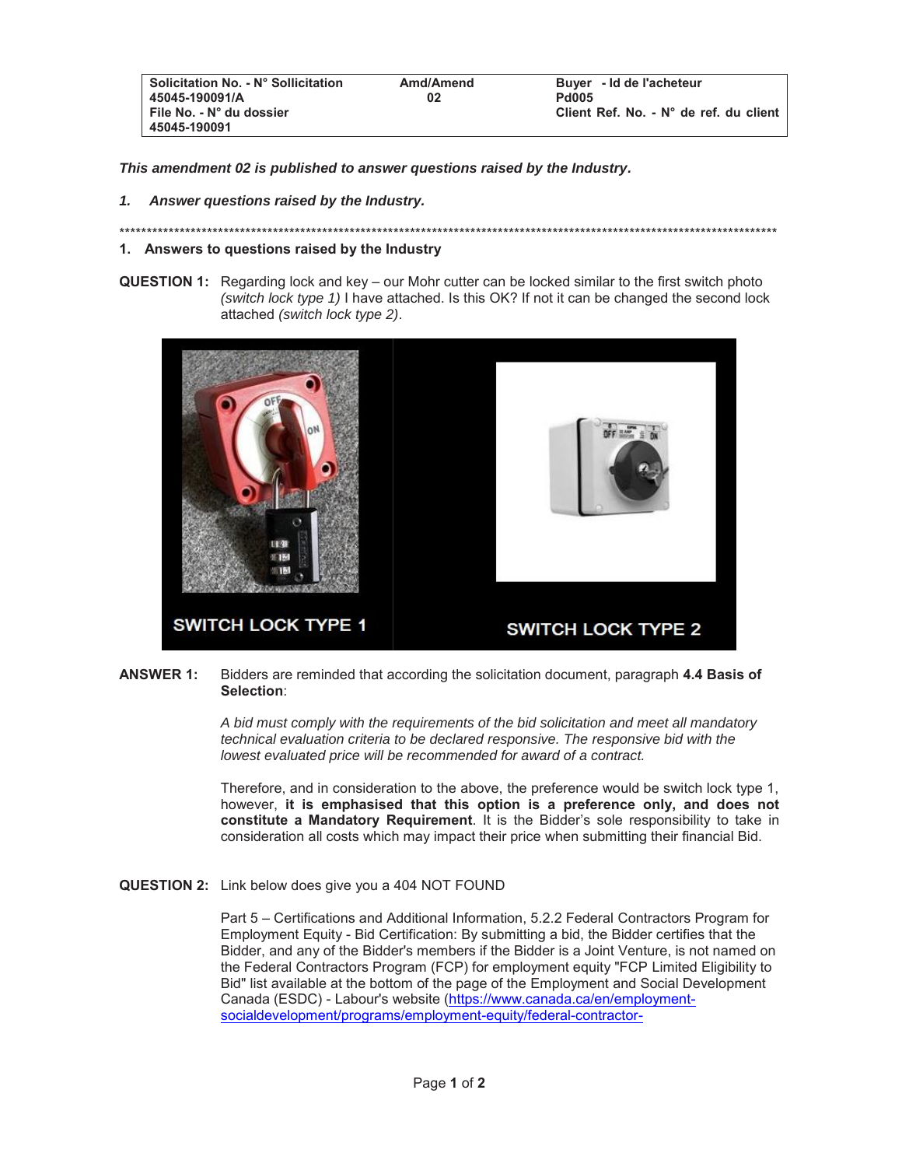| <b>Pd005</b>                           |
|----------------------------------------|
| Client Ref. No. - N° de ref. du client |
|                                        |

*This amendment 02 is published to answer questions raised by the Industry.* 

*1. Answer questions raised by the Industry.* 

#### \*\*\*\*\*\*\*\*\*\*\*\*\*\*\*\*\*\*\*\*\*\*\*\*\*\*\*\*\*\*\*\*\*\*\*\*\*\*\*\*\*\*\*\*\*\*\*\*\*\*\*\*\*\*\*\*\*\*\*\*\*\*\*\*\*\*\*\*\*\*\*\*\*\*\*\*\*\*\*\*\*\*\*\*\*\*\*\*\*\*\*\*\*\*\*\*\*\*\*\*\*\*\*\*\*\*\*\*\*\*\*\*\*\*\*\*\*\*\*\*

## **1. Answers to questions raised by the Industry**

**QUESTION 1:** Regarding lock and key – our Mohr cutter can be locked similar to the first switch photo *(switch lock type 1)* I have attached. Is this OK? If not it can be changed the second lock attached *(switch lock type 2)*.



## **ANSWER 1:** Bidders are reminded that according the solicitation document, paragraph **4.4 Basis of Selection**:

*A bid must comply with the requirements of the bid solicitation and meet all mandatory technical evaluation criteria to be declared responsive. The responsive bid with the lowest evaluated price will be recommended for award of a contract.* 

Therefore, and in consideration to the above, the preference would be switch lock type 1, however, **it is emphasised that this option is a preference only, and does not constitute a Mandatory Requirement**. It is the Bidder's sole responsibility to take in consideration all costs which may impact their price when submitting their financial Bid.

**QUESTION 2:** Link below does give you a 404 NOT FOUND

Part 5 – Certifications and Additional Information, 5.2.2 Federal Contractors Program for Employment Equity - Bid Certification: By submitting a bid, the Bidder certifies that the Bidder, and any of the Bidder's members if the Bidder is a Joint Venture, is not named on the Federal Contractors Program (FCP) for employment equity "FCP Limited Eligibility to Bid" list available at the bottom of the page of the Employment and Social Development Canada (ESDC) - Labour's website (https://www.canada.ca/en/employmentsocialdevelopment/programs/employment-equity/federal-contractor-